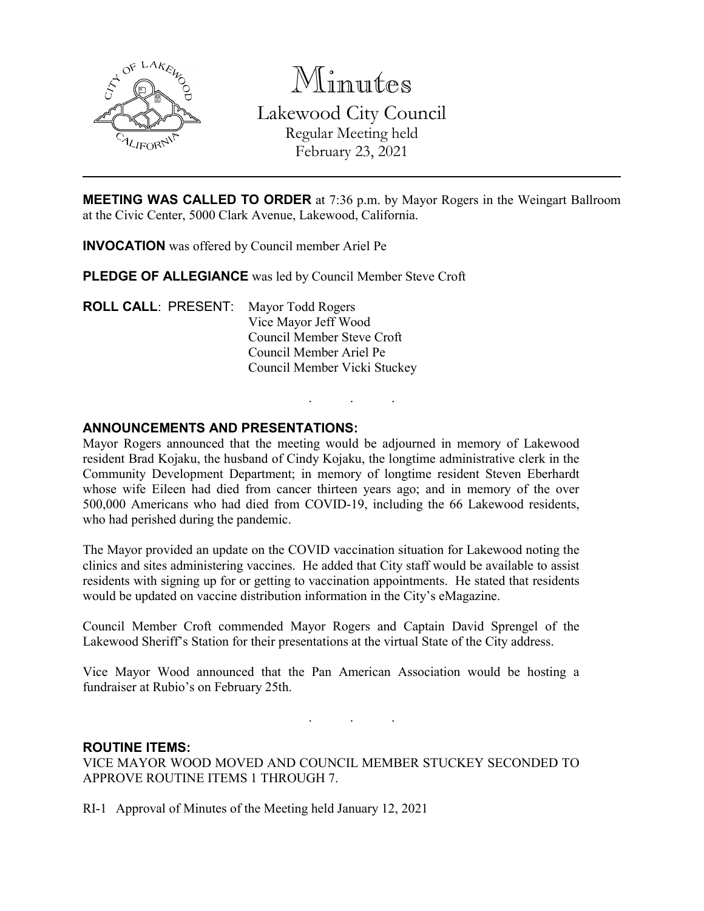

Minutes Lakewood City Council Regular Meeting held February 23, 2021

**MEETING WAS CALLED TO ORDER** at 7:36 p.m. by Mayor Rogers in the Weingart Ballroom at the Civic Center, 5000 Clark Avenue, Lakewood, California.

**INVOCATION** was offered by Council member Ariel Pe

**PLEDGE OF ALLEGIANCE** was led by Council Member Steve Croft

**ROLL CALL**: PRESENT: Mayor Todd Rogers Vice Mayor Jeff Wood Council Member Steve Croft Council Member Ariel Pe Council Member Vicki Stuckey

### **ANNOUNCEMENTS AND PRESENTATIONS:**

Mayor Rogers announced that the meeting would be adjourned in memory of Lakewood resident Brad Kojaku, the husband of Cindy Kojaku, the longtime administrative clerk in the Community Development Department; in memory of longtime resident Steven Eberhardt whose wife Eileen had died from cancer thirteen years ago; and in memory of the over 500,000 Americans who had died from COVID-19, including the 66 Lakewood residents, who had perished during the pandemic.

. . .

The Mayor provided an update on the COVID vaccination situation for Lakewood noting the clinics and sites administering vaccines. He added that City staff would be available to assist residents with signing up for or getting to vaccination appointments. He stated that residents would be updated on vaccine distribution information in the City's eMagazine.

Council Member Croft commended Mayor Rogers and Captain David Sprengel of the Lakewood Sheriff's Station for their presentations at the virtual State of the City address.

Vice Mayor Wood announced that the Pan American Association would be hosting a fundraiser at Rubio's on February 25th.

. . .

### **ROUTINE ITEMS:**

VICE MAYOR WOOD MOVED AND COUNCIL MEMBER STUCKEY SECONDED TO APPROVE ROUTINE ITEMS 1 THROUGH 7.

RI-1 Approval of Minutes of the Meeting held January 12, 2021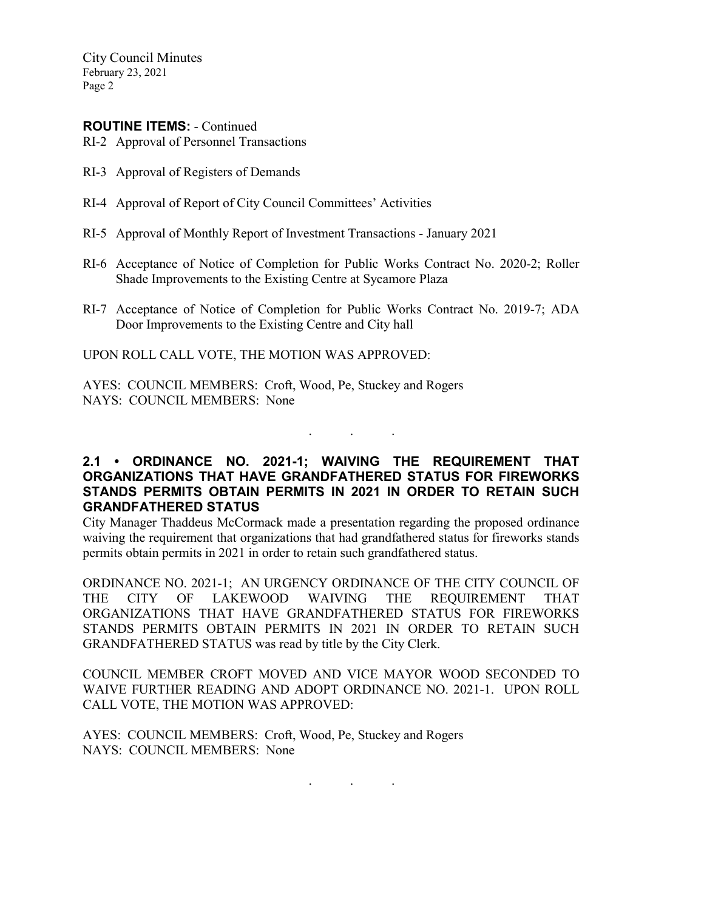City Council Minutes February 23, 2021 Page 2

### **ROUTINE ITEMS:** - Continued

RI-2 Approval of Personnel Transactions

- RI-3 Approval of Registers of Demands
- RI-4 Approval of Report of City Council Committees' Activities
- RI-5 Approval of Monthly Report of Investment Transactions January 2021
- RI-6 Acceptance of Notice of Completion for Public Works Contract No. 2020-2; Roller Shade Improvements to the Existing Centre at Sycamore Plaza
- RI-7 Acceptance of Notice of Completion for Public Works Contract No. 2019-7; ADA Door Improvements to the Existing Centre and City hall

UPON ROLL CALL VOTE, THE MOTION WAS APPROVED:

AYES: COUNCIL MEMBERS: Croft, Wood, Pe, Stuckey and Rogers NAYS: COUNCIL MEMBERS: None

## **2.1 • ORDINANCE NO. 2021-1; WAIVING THE REQUIREMENT THAT ORGANIZATIONS THAT HAVE GRANDFATHERED STATUS FOR FIREWORKS STANDS PERMITS OBTAIN PERMITS IN 2021 IN ORDER TO RETAIN SUCH GRANDFATHERED STATUS**

. . .

City Manager Thaddeus McCormack made a presentation regarding the proposed ordinance waiving the requirement that organizations that had grandfathered status for fireworks stands permits obtain permits in 2021 in order to retain such grandfathered status.

ORDINANCE NO. 2021-1; AN URGENCY ORDINANCE OF THE CITY COUNCIL OF THE CITY OF LAKEWOOD WAIVING THE REQUIREMENT THAT ORGANIZATIONS THAT HAVE GRANDFATHERED STATUS FOR FIREWORKS STANDS PERMITS OBTAIN PERMITS IN 2021 IN ORDER TO RETAIN SUCH GRANDFATHERED STATUS was read by title by the City Clerk.

COUNCIL MEMBER CROFT MOVED AND VICE MAYOR WOOD SECONDED TO WAIVE FURTHER READING AND ADOPT ORDINANCE NO. 2021-1. UPON ROLL CALL VOTE, THE MOTION WAS APPROVED:

AYES: COUNCIL MEMBERS: Croft, Wood, Pe, Stuckey and Rogers NAYS: COUNCIL MEMBERS: None

. . .